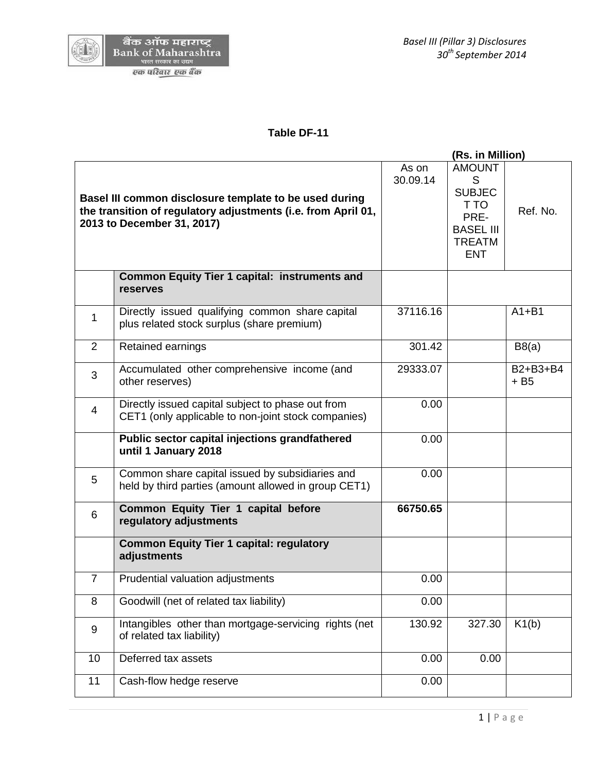#### **Table DF-11**

|                |                                                                                                                                                       |                   | (Rs. in Million)                                                                                       |                    |
|----------------|-------------------------------------------------------------------------------------------------------------------------------------------------------|-------------------|--------------------------------------------------------------------------------------------------------|--------------------|
|                | Basel III common disclosure template to be used during<br>the transition of regulatory adjustments (i.e. from April 01,<br>2013 to December 31, 2017) | As on<br>30.09.14 | <b>AMOUNT</b><br>S<br><b>SUBJEC</b><br>T TO<br>PRE-<br><b>BASEL III</b><br><b>TREATM</b><br><b>ENT</b> | Ref. No.           |
|                | <b>Common Equity Tier 1 capital: instruments and</b><br><b>reserves</b>                                                                               |                   |                                                                                                        |                    |
| 1              | Directly issued qualifying common share capital<br>plus related stock surplus (share premium)                                                         | 37116.16          |                                                                                                        | $A1 + B1$          |
| $\overline{2}$ | Retained earnings                                                                                                                                     | 301.42            |                                                                                                        | B8(a)              |
| 3              | Accumulated other comprehensive income (and<br>other reserves)                                                                                        | 29333.07          |                                                                                                        | B2+B3+B4<br>$+ B5$ |
| $\overline{4}$ | Directly issued capital subject to phase out from<br>CET1 (only applicable to non-joint stock companies)                                              | 0.00              |                                                                                                        |                    |
|                | Public sector capital injections grandfathered<br>until 1 January 2018                                                                                | 0.00              |                                                                                                        |                    |
| 5              | Common share capital issued by subsidiaries and<br>held by third parties (amount allowed in group CET1)                                               | 0.00              |                                                                                                        |                    |
| 6              | Common Equity Tier 1 capital before<br>regulatory adjustments                                                                                         | 66750.65          |                                                                                                        |                    |
|                | <b>Common Equity Tier 1 capital: regulatory</b><br>adjustments                                                                                        |                   |                                                                                                        |                    |
| $\overline{7}$ | Prudential valuation adjustments                                                                                                                      | 0.00              |                                                                                                        |                    |
| 8              | Goodwill (net of related tax liability)                                                                                                               | 0.00              |                                                                                                        |                    |
| 9              | Intangibles other than mortgage-servicing rights (net<br>of related tax liability)                                                                    | 130.92            | 327.30                                                                                                 | K1(b)              |
| 10             | Deferred tax assets                                                                                                                                   | 0.00              | 0.00                                                                                                   |                    |
| 11             | Cash-flow hedge reserve                                                                                                                               | 0.00              |                                                                                                        |                    |
|                |                                                                                                                                                       |                   |                                                                                                        |                    |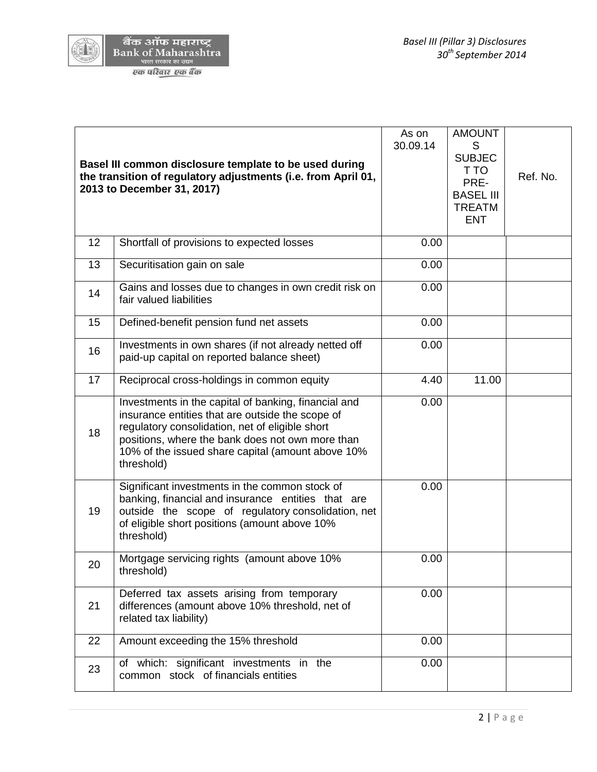

(AI)

| Basel III common disclosure template to be used during<br>the transition of regulatory adjustments (i.e. from April 01,<br>2013 to December 31, 2017) |                                                                                                                                                                                                                                                                                    | As on<br>30.09.14 | <b>AMOUNT</b><br>S<br><b>SUBJEC</b><br>T TO<br>PRE-<br><b>BASEL III</b><br><b>TREATM</b><br><b>ENT</b> | Ref. No. |
|-------------------------------------------------------------------------------------------------------------------------------------------------------|------------------------------------------------------------------------------------------------------------------------------------------------------------------------------------------------------------------------------------------------------------------------------------|-------------------|--------------------------------------------------------------------------------------------------------|----------|
| 12                                                                                                                                                    | Shortfall of provisions to expected losses                                                                                                                                                                                                                                         | 0.00              |                                                                                                        |          |
| 13                                                                                                                                                    | Securitisation gain on sale                                                                                                                                                                                                                                                        | 0.00              |                                                                                                        |          |
| 14                                                                                                                                                    | Gains and losses due to changes in own credit risk on<br>fair valued liabilities                                                                                                                                                                                                   | 0.00              |                                                                                                        |          |
| 15                                                                                                                                                    | Defined-benefit pension fund net assets                                                                                                                                                                                                                                            | 0.00              |                                                                                                        |          |
| 16                                                                                                                                                    | Investments in own shares (if not already netted off<br>paid-up capital on reported balance sheet)                                                                                                                                                                                 | 0.00              |                                                                                                        |          |
| 17                                                                                                                                                    | Reciprocal cross-holdings in common equity                                                                                                                                                                                                                                         | 4.40              | 11.00                                                                                                  |          |
| 18                                                                                                                                                    | Investments in the capital of banking, financial and<br>insurance entities that are outside the scope of<br>regulatory consolidation, net of eligible short<br>positions, where the bank does not own more than<br>10% of the issued share capital (amount above 10%<br>threshold) | 0.00              |                                                                                                        |          |
| 19                                                                                                                                                    | Significant investments in the common stock of<br>banking, financial and insurance entities that are<br>outside the scope of regulatory consolidation, net<br>of eligible short positions (amount above 10%<br>threshold)                                                          | 0.00              |                                                                                                        |          |
| 20                                                                                                                                                    | Mortgage servicing rights (amount above 10%<br>threshold)                                                                                                                                                                                                                          | 0.00              |                                                                                                        |          |
| 21                                                                                                                                                    | Deferred tax assets arising from temporary<br>differences (amount above 10% threshold, net of<br>related tax liability)                                                                                                                                                            | 0.00              |                                                                                                        |          |
| 22                                                                                                                                                    | Amount exceeding the 15% threshold                                                                                                                                                                                                                                                 | 0.00              |                                                                                                        |          |
| 23                                                                                                                                                    | of which: significant investments in the<br>common stock of financials entities                                                                                                                                                                                                    | 0.00              |                                                                                                        |          |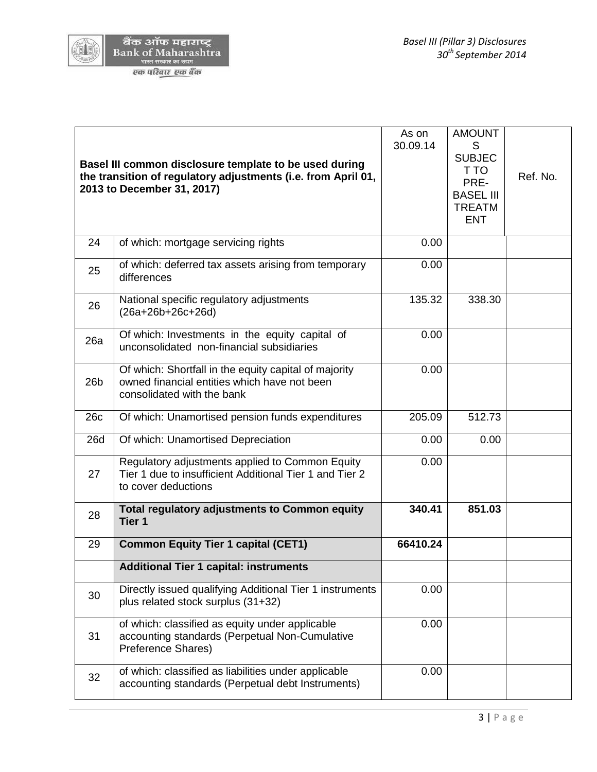

 $(\sqrt{15})$ 

| Basel III common disclosure template to be used during<br>the transition of regulatory adjustments (i.e. from April 01,<br>2013 to December 31, 2017) |                                                                                                                                     | As on<br>30.09.14 | <b>AMOUNT</b><br>S<br><b>SUBJEC</b><br>T TO<br>PRE-<br><b>BASEL III</b><br><b>TREATM</b><br><b>ENT</b> | Ref. No. |
|-------------------------------------------------------------------------------------------------------------------------------------------------------|-------------------------------------------------------------------------------------------------------------------------------------|-------------------|--------------------------------------------------------------------------------------------------------|----------|
| 24                                                                                                                                                    | of which: mortgage servicing rights                                                                                                 | 0.00              |                                                                                                        |          |
| 25                                                                                                                                                    | of which: deferred tax assets arising from temporary<br>differences                                                                 | 0.00              |                                                                                                        |          |
| 26                                                                                                                                                    | National specific regulatory adjustments<br>135.32<br>338.30<br>$(26a+26b+26c+26d)$                                                 |                   |                                                                                                        |          |
| 26a                                                                                                                                                   | Of which: Investments in the equity capital of<br>unconsolidated non-financial subsidiaries                                         | 0.00              |                                                                                                        |          |
| 26 <sub>b</sub>                                                                                                                                       | Of which: Shortfall in the equity capital of majority<br>owned financial entities which have not been<br>consolidated with the bank | 0.00              |                                                                                                        |          |
| 26c                                                                                                                                                   | Of which: Unamortised pension funds expenditures                                                                                    | 205.09            | 512.73                                                                                                 |          |
| <b>26d</b>                                                                                                                                            | Of which: Unamortised Depreciation                                                                                                  | 0.00              | 0.00                                                                                                   |          |
| 27                                                                                                                                                    | Regulatory adjustments applied to Common Equity<br>Tier 1 due to insufficient Additional Tier 1 and Tier 2<br>to cover deductions   | 0.00              |                                                                                                        |          |
| 28                                                                                                                                                    | <b>Total regulatory adjustments to Common equity</b><br>Tier 1                                                                      | 340.41            | 851.03                                                                                                 |          |
| 29                                                                                                                                                    | <b>Common Equity Tier 1 capital (CET1)</b>                                                                                          | 66410.24          |                                                                                                        |          |
|                                                                                                                                                       | <b>Additional Tier 1 capital: instruments</b>                                                                                       |                   |                                                                                                        |          |
| 30                                                                                                                                                    | Directly issued qualifying Additional Tier 1 instruments<br>plus related stock surplus (31+32)                                      | 0.00              |                                                                                                        |          |
| 31                                                                                                                                                    | of which: classified as equity under applicable<br>accounting standards (Perpetual Non-Cumulative<br>Preference Shares)             | 0.00              |                                                                                                        |          |
| 32                                                                                                                                                    | of which: classified as liabilities under applicable<br>accounting standards (Perpetual debt Instruments)                           | 0.00              |                                                                                                        |          |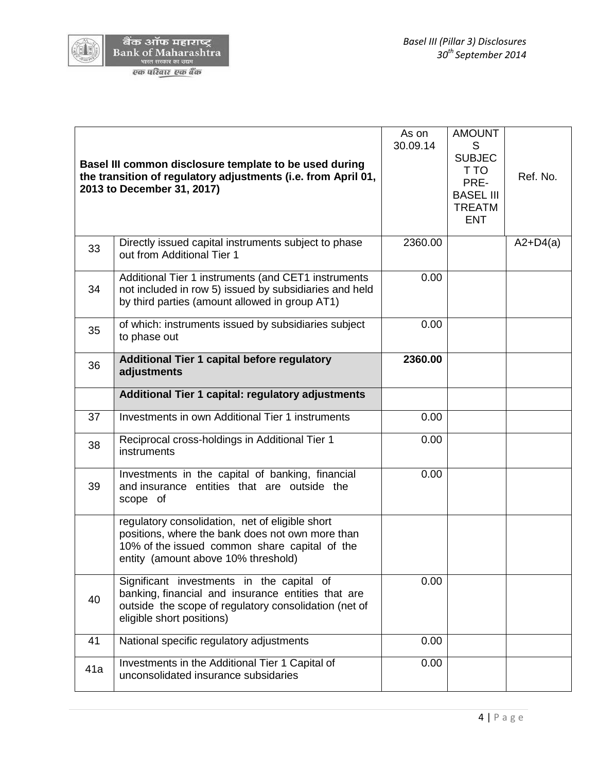

| Basel III common disclosure template to be used during<br>the transition of regulatory adjustments (i.e. from April 01,<br>2013 to December 31, 2017) |                                                                                                                                                                                             | As on<br>30.09.14 | <b>AMOUNT</b><br>S<br><b>SUBJEC</b><br>T TO<br>PRE-<br><b>BASEL III</b><br><b>TREATM</b><br><b>ENT</b> | Ref. No.   |
|-------------------------------------------------------------------------------------------------------------------------------------------------------|---------------------------------------------------------------------------------------------------------------------------------------------------------------------------------------------|-------------------|--------------------------------------------------------------------------------------------------------|------------|
| 33                                                                                                                                                    | Directly issued capital instruments subject to phase<br>out from Additional Tier 1                                                                                                          | 2360.00           |                                                                                                        | $A2+D4(a)$ |
| 34                                                                                                                                                    | Additional Tier 1 instruments (and CET1 instruments<br>not included in row 5) issued by subsidiaries and held<br>by third parties (amount allowed in group AT1)                             | 0.00              |                                                                                                        |            |
| 35                                                                                                                                                    | of which: instruments issued by subsidiaries subject<br>to phase out                                                                                                                        | 0.00              |                                                                                                        |            |
| 36                                                                                                                                                    | Additional Tier 1 capital before regulatory<br>adjustments                                                                                                                                  |                   |                                                                                                        |            |
|                                                                                                                                                       | Additional Tier 1 capital: regulatory adjustments                                                                                                                                           |                   |                                                                                                        |            |
| 37                                                                                                                                                    | Investments in own Additional Tier 1 instruments                                                                                                                                            | 0.00              |                                                                                                        |            |
| 38                                                                                                                                                    | Reciprocal cross-holdings in Additional Tier 1<br>instruments                                                                                                                               | 0.00              |                                                                                                        |            |
| 39                                                                                                                                                    | Investments in the capital of banking, financial<br>and insurance entities that are outside the<br>scope of                                                                                 | 0.00              |                                                                                                        |            |
|                                                                                                                                                       | regulatory consolidation, net of eligible short<br>positions, where the bank does not own more than<br>10% of the issued common share capital of the<br>entity (amount above 10% threshold) |                   |                                                                                                        |            |
| 40                                                                                                                                                    | Significant investments in the capital of<br>banking, financial and insurance entities that are<br>outside the scope of regulatory consolidation (net of<br>eligible short positions)       | 0.00              |                                                                                                        |            |
| 41                                                                                                                                                    | National specific regulatory adjustments                                                                                                                                                    | 0.00              |                                                                                                        |            |
| 41a                                                                                                                                                   | Investments in the Additional Tier 1 Capital of<br>unconsolidated insurance subsidaries                                                                                                     | 0.00              |                                                                                                        |            |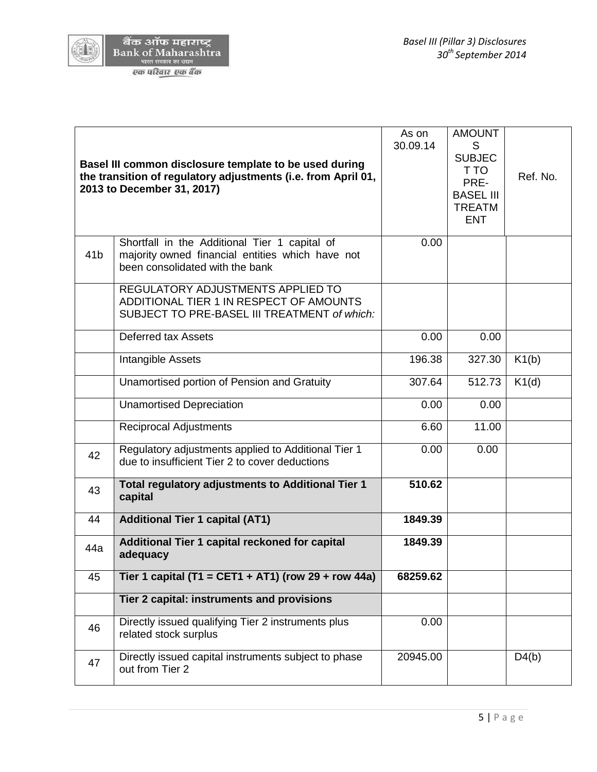

| Basel III common disclosure template to be used during<br>the transition of regulatory adjustments (i.e. from April 01,<br>2013 to December 31, 2017) |                                                                                                                                      | As on<br>30.09.14 | <b>AMOUNT</b><br>S<br><b>SUBJEC</b><br>T TO<br>PRE-<br><b>BASEL III</b><br><b>TREATM</b><br><b>ENT</b> | Ref. No. |
|-------------------------------------------------------------------------------------------------------------------------------------------------------|--------------------------------------------------------------------------------------------------------------------------------------|-------------------|--------------------------------------------------------------------------------------------------------|----------|
| 41 <sub>b</sub>                                                                                                                                       | Shortfall in the Additional Tier 1 capital of<br>majority owned financial entities which have not<br>been consolidated with the bank | 0.00              |                                                                                                        |          |
|                                                                                                                                                       | REGULATORY ADJUSTMENTS APPLIED TO<br>ADDITIONAL TIER 1 IN RESPECT OF AMOUNTS<br>SUBJECT TO PRE-BASEL III TREATMENT of which:         |                   |                                                                                                        |          |
|                                                                                                                                                       | <b>Deferred tax Assets</b>                                                                                                           | 0.00              | 0.00                                                                                                   |          |
|                                                                                                                                                       | Intangible Assets                                                                                                                    | 196.38            | 327.30                                                                                                 | K1(b)    |
|                                                                                                                                                       | Unamortised portion of Pension and Gratuity                                                                                          | 307.64            | 512.73                                                                                                 | K1(d)    |
|                                                                                                                                                       | <b>Unamortised Depreciation</b>                                                                                                      | 0.00              | 0.00                                                                                                   |          |
|                                                                                                                                                       | <b>Reciprocal Adjustments</b>                                                                                                        | 6.60              | 11.00                                                                                                  |          |
| 42                                                                                                                                                    | Regulatory adjustments applied to Additional Tier 1<br>due to insufficient Tier 2 to cover deductions                                | 0.00              | 0.00                                                                                                   |          |
| 43                                                                                                                                                    | Total regulatory adjustments to Additional Tier 1<br>capital                                                                         | 510.62            |                                                                                                        |          |
| 44                                                                                                                                                    | <b>Additional Tier 1 capital (AT1)</b>                                                                                               | 1849.39           |                                                                                                        |          |
| 44a                                                                                                                                                   | Additional Tier 1 capital reckoned for capital<br>adequacy                                                                           | 1849.39           |                                                                                                        |          |
| 45                                                                                                                                                    | Tier 1 capital (T1 = CET1 + AT1) (row 29 + row 44a)                                                                                  | 68259.62          |                                                                                                        |          |
|                                                                                                                                                       | Tier 2 capital: instruments and provisions                                                                                           |                   |                                                                                                        |          |
| 46                                                                                                                                                    | Directly issued qualifying Tier 2 instruments plus<br>related stock surplus                                                          | 0.00              |                                                                                                        |          |
| 47                                                                                                                                                    | Directly issued capital instruments subject to phase<br>out from Tier 2                                                              | 20945.00          |                                                                                                        | D4(b)    |
|                                                                                                                                                       |                                                                                                                                      |                   |                                                                                                        |          |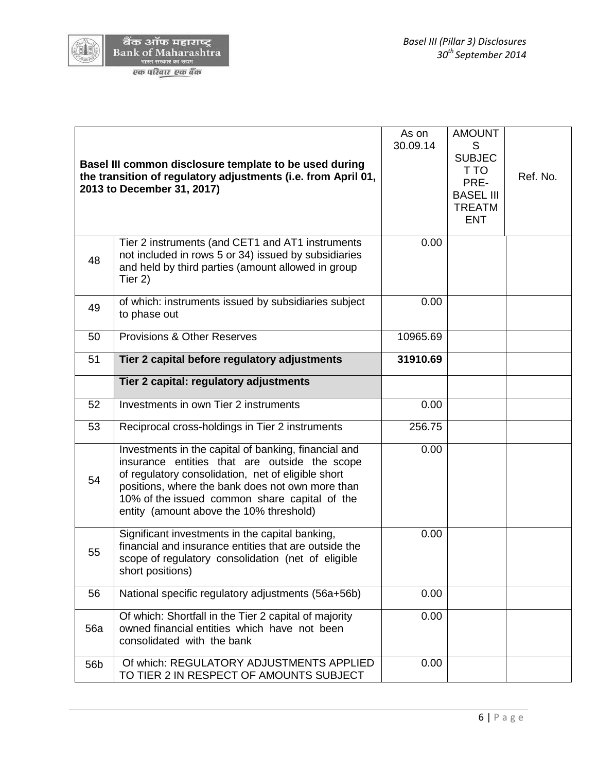

| Basel III common disclosure template to be used during<br>T TO<br>the transition of regulatory adjustments (i.e. from April 01,<br>PRE-<br>2013 to December 31, 2017)<br><b>BASEL III</b><br><b>TREATM</b><br><b>ENT</b>                                                                                                  | Ref. No. |
|---------------------------------------------------------------------------------------------------------------------------------------------------------------------------------------------------------------------------------------------------------------------------------------------------------------------------|----------|
| Tier 2 instruments (and CET1 and AT1 instruments<br>0.00<br>not included in rows 5 or 34) issued by subsidiaries<br>48<br>and held by third parties (amount allowed in group<br>Tier 2)                                                                                                                                   |          |
| of which: instruments issued by subsidiaries subject<br>0.00<br>49<br>to phase out                                                                                                                                                                                                                                        |          |
| <b>Provisions &amp; Other Reserves</b><br>10965.69<br>50                                                                                                                                                                                                                                                                  |          |
| 51<br>Tier 2 capital before regulatory adjustments<br>31910.69                                                                                                                                                                                                                                                            |          |
| Tier 2 capital: regulatory adjustments                                                                                                                                                                                                                                                                                    |          |
| 52<br>Investments in own Tier 2 instruments<br>0.00                                                                                                                                                                                                                                                                       |          |
| 53<br>256.75<br>Reciprocal cross-holdings in Tier 2 instruments                                                                                                                                                                                                                                                           |          |
| Investments in the capital of banking, financial and<br>0.00<br>insurance entities that are outside the scope<br>of regulatory consolidation, net of eligible short<br>54<br>positions, where the bank does not own more than<br>10% of the issued common share capital of the<br>entity (amount above the 10% threshold) |          |
| Significant investments in the capital banking,<br>0.00<br>financial and insurance entities that are outside the<br>55<br>scope of regulatory consolidation (net of eligible<br>short positions)                                                                                                                          |          |
| National specific regulatory adjustments (56a+56b)<br>56<br>0.00                                                                                                                                                                                                                                                          |          |
| Of which: Shortfall in the Tier 2 capital of majority<br>0.00<br>owned financial entities which have not been<br><b>56a</b><br>consolidated with the bank                                                                                                                                                                 |          |
| Of which: REGULATORY ADJUSTMENTS APPLIED<br>0.00<br>56b<br>TO TIER 2 IN RESPECT OF AMOUNTS SUBJECT                                                                                                                                                                                                                        |          |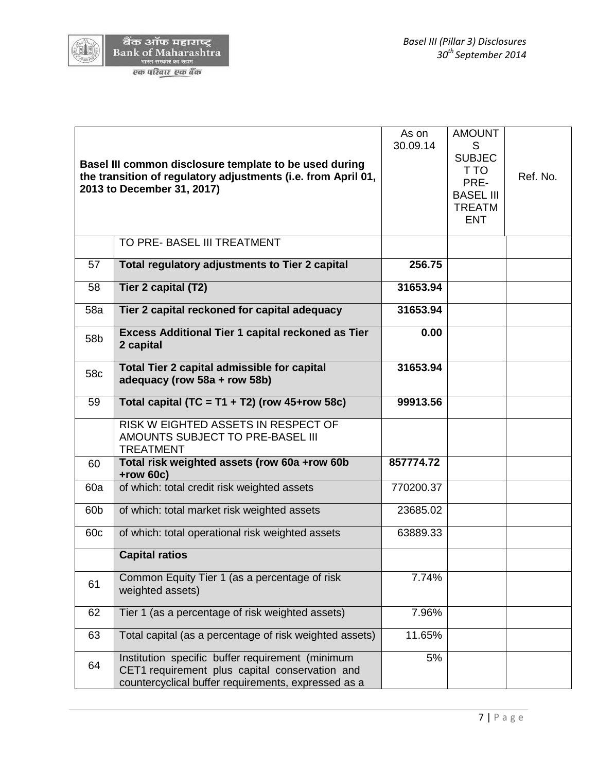

 $(\sqrt{15})$ 

| Basel III common disclosure template to be used during<br>the transition of regulatory adjustments (i.e. from April 01,<br>2013 to December 31, 2017) |                                                                                                                                                           | As on<br>30.09.14 | <b>AMOUNT</b><br>S<br><b>SUBJEC</b><br>T TO<br>PRE-<br><b>BASEL III</b><br><b>TREATM</b><br><b>ENT</b> | Ref. No. |
|-------------------------------------------------------------------------------------------------------------------------------------------------------|-----------------------------------------------------------------------------------------------------------------------------------------------------------|-------------------|--------------------------------------------------------------------------------------------------------|----------|
|                                                                                                                                                       | TO PRE- BASEL III TREATMENT                                                                                                                               |                   |                                                                                                        |          |
| 57                                                                                                                                                    | Total regulatory adjustments to Tier 2 capital                                                                                                            | 256.75            |                                                                                                        |          |
| 58                                                                                                                                                    | Tier 2 capital (T2)                                                                                                                                       | 31653.94          |                                                                                                        |          |
| 58a                                                                                                                                                   | Tier 2 capital reckoned for capital adequacy                                                                                                              | 31653.94          |                                                                                                        |          |
| 58 <sub>b</sub>                                                                                                                                       | Excess Additional Tier 1 capital reckoned as Tier<br>2 capital                                                                                            | 0.00              |                                                                                                        |          |
| 58c                                                                                                                                                   | Total Tier 2 capital admissible for capital<br>adequacy (row 58a + row 58b)                                                                               | 31653.94          |                                                                                                        |          |
| 59                                                                                                                                                    | Total capital (TC = T1 + T2) (row $45+row 58c$ )                                                                                                          | 99913.56          |                                                                                                        |          |
|                                                                                                                                                       | RISK W EIGHTED ASSETS IN RESPECT OF<br>AMOUNTS SUBJECT TO PRE-BASEL III<br><b>TREATMENT</b>                                                               |                   |                                                                                                        |          |
| 60                                                                                                                                                    | Total risk weighted assets (row 60a +row 60b<br>$+row 60c)$                                                                                               | 857774.72         |                                                                                                        |          |
| 60a                                                                                                                                                   | of which: total credit risk weighted assets                                                                                                               | 770200.37         |                                                                                                        |          |
| 60 <sub>b</sub>                                                                                                                                       | of which: total market risk weighted assets                                                                                                               | 23685.02          |                                                                                                        |          |
| 60 <sub>c</sub>                                                                                                                                       | of which: total operational risk weighted assets                                                                                                          | 63889.33          |                                                                                                        |          |
|                                                                                                                                                       | <b>Capital ratios</b>                                                                                                                                     |                   |                                                                                                        |          |
| 61                                                                                                                                                    | Common Equity Tier 1 (as a percentage of risk<br>weighted assets)                                                                                         | 7.74%             |                                                                                                        |          |
| 62                                                                                                                                                    | Tier 1 (as a percentage of risk weighted assets)                                                                                                          | 7.96%             |                                                                                                        |          |
| 63                                                                                                                                                    | Total capital (as a percentage of risk weighted assets)                                                                                                   | 11.65%            |                                                                                                        |          |
| 64                                                                                                                                                    | Institution specific buffer requirement (minimum<br>CET1 requirement plus capital conservation and<br>countercyclical buffer requirements, expressed as a | 5%                |                                                                                                        |          |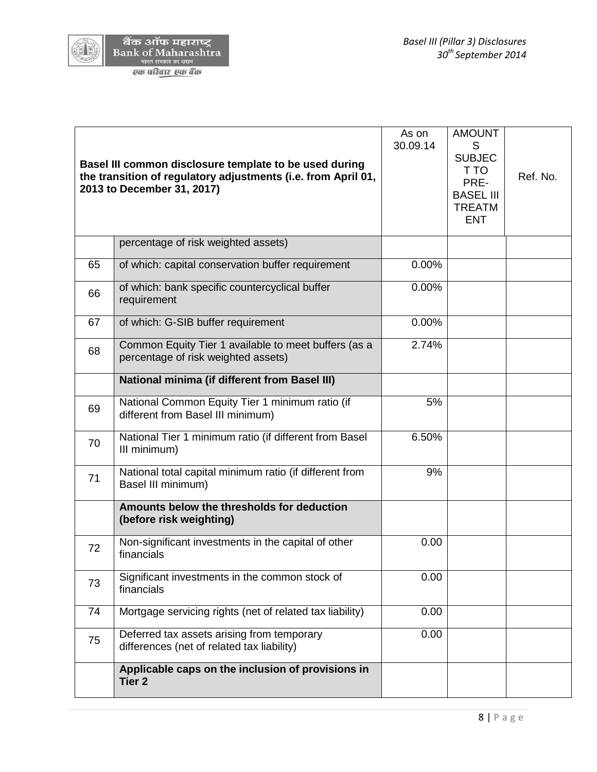

(AI

|    | Basel III common disclosure template to be used during<br>the transition of regulatory adjustments (i.e. from April 01,<br>2013 to December 31, 2017) | As on<br>30.09.14 | <b>AMOUNT</b><br>S<br><b>SUBJEC</b><br>T TO<br>PRE-<br><b>BASEL III</b><br><b>TREATM</b><br><b>ENT</b> | Ref. No. |
|----|-------------------------------------------------------------------------------------------------------------------------------------------------------|-------------------|--------------------------------------------------------------------------------------------------------|----------|
|    | percentage of risk weighted assets)                                                                                                                   |                   |                                                                                                        |          |
| 65 | of which: capital conservation buffer requirement                                                                                                     | 0.00%             |                                                                                                        |          |
| 66 | of which: bank specific countercyclical buffer<br>requirement                                                                                         | 0.00%             |                                                                                                        |          |
| 67 | of which: G-SIB buffer requirement                                                                                                                    | 0.00%             |                                                                                                        |          |
| 68 | Common Equity Tier 1 available to meet buffers (as a<br>percentage of risk weighted assets)                                                           | 2.74%             |                                                                                                        |          |
|    | <b>National minima (if different from Basel III)</b>                                                                                                  |                   |                                                                                                        |          |
| 69 | National Common Equity Tier 1 minimum ratio (if<br>different from Basel III minimum)                                                                  | 5%                |                                                                                                        |          |
| 70 | National Tier 1 minimum ratio (if different from Basel<br>III minimum)                                                                                | 6.50%             |                                                                                                        |          |
| 71 | National total capital minimum ratio (if different from<br>Basel III minimum)                                                                         | 9%                |                                                                                                        |          |
|    | Amounts below the thresholds for deduction<br>(before risk weighting)                                                                                 |                   |                                                                                                        |          |
| 72 | Non-significant investments in the capital of other<br>financials                                                                                     | 0.00              |                                                                                                        |          |
| 73 | Significant investments in the common stock of<br>financials                                                                                          | 0.00              |                                                                                                        |          |
| 74 | Mortgage servicing rights (net of related tax liability)                                                                                              | 0.00              |                                                                                                        |          |
| 75 | Deferred tax assets arising from temporary<br>differences (net of related tax liability)                                                              | 0.00              |                                                                                                        |          |
|    | Applicable caps on the inclusion of provisions in<br>Tier <sub>2</sub>                                                                                |                   |                                                                                                        |          |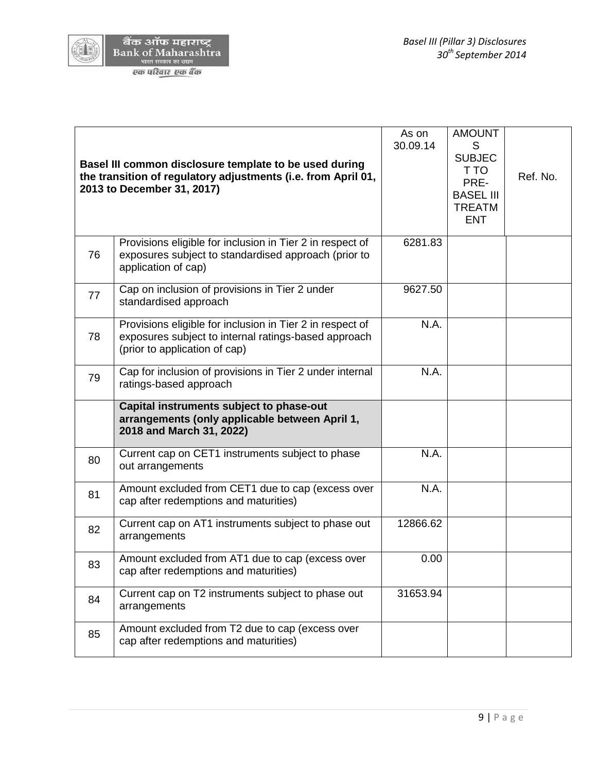

ad B

|    | Basel III common disclosure template to be used during<br>the transition of regulatory adjustments (i.e. from April 01,<br>2013 to December 31, 2017) | As on<br>30.09.14 | <b>AMOUNT</b><br>S<br><b>SUBJEC</b><br>T TO<br>PRE-<br><b>BASEL III</b><br><b>TREATM</b><br><b>ENT</b> | Ref. No. |
|----|-------------------------------------------------------------------------------------------------------------------------------------------------------|-------------------|--------------------------------------------------------------------------------------------------------|----------|
| 76 | Provisions eligible for inclusion in Tier 2 in respect of<br>exposures subject to standardised approach (prior to<br>application of cap)              | 6281.83           |                                                                                                        |          |
| 77 | Cap on inclusion of provisions in Tier 2 under<br>standardised approach                                                                               | 9627.50           |                                                                                                        |          |
| 78 | Provisions eligible for inclusion in Tier 2 in respect of<br>exposures subject to internal ratings-based approach<br>(prior to application of cap)    | N.A.              |                                                                                                        |          |
| 79 | Cap for inclusion of provisions in Tier 2 under internal<br>ratings-based approach                                                                    | N.A.              |                                                                                                        |          |
|    | Capital instruments subject to phase-out<br>arrangements (only applicable between April 1,<br>2018 and March 31, 2022)                                |                   |                                                                                                        |          |
| 80 | Current cap on CET1 instruments subject to phase<br>out arrangements                                                                                  | N.A.              |                                                                                                        |          |
| 81 | Amount excluded from CET1 due to cap (excess over<br>cap after redemptions and maturities)                                                            | N.A.              |                                                                                                        |          |
| 82 | Current cap on AT1 instruments subject to phase out<br>arrangements                                                                                   | 12866.62          |                                                                                                        |          |
| 83 | Amount excluded from AT1 due to cap (excess over<br>cap after redemptions and maturities)                                                             | 0.00              |                                                                                                        |          |
| 84 | Current cap on T2 instruments subject to phase out<br>arrangements                                                                                    | 31653.94          |                                                                                                        |          |
| 85 | Amount excluded from T2 due to cap (excess over<br>cap after redemptions and maturities)                                                              |                   |                                                                                                        |          |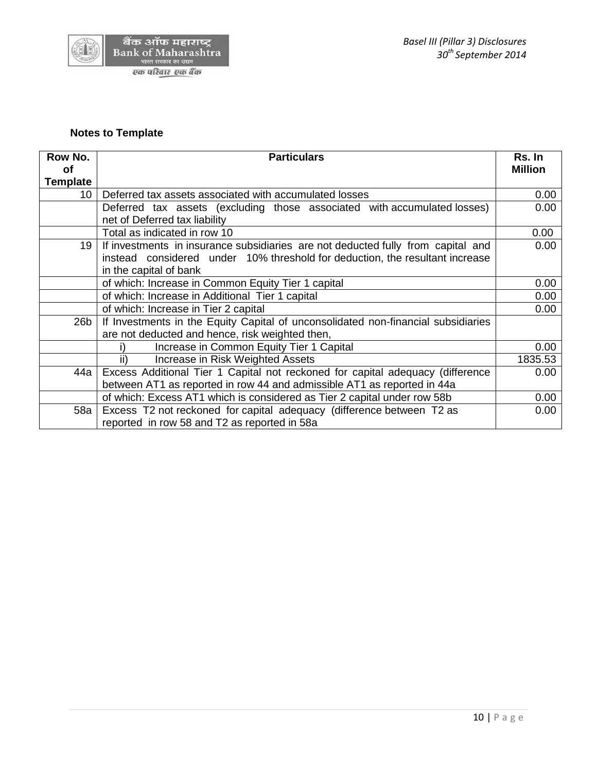

### **Notes to Template**

| Row No.         | <b>Particulars</b>                                                                                                                                               | Rs. In         |  |
|-----------------|------------------------------------------------------------------------------------------------------------------------------------------------------------------|----------------|--|
| οf              |                                                                                                                                                                  | <b>Million</b> |  |
| <b>Template</b> |                                                                                                                                                                  |                |  |
| 10              | Deferred tax assets associated with accumulated losses                                                                                                           | 0.00           |  |
|                 | Deferred tax assets (excluding those associated with accumulated losses)<br>net of Deferred tax liability                                                        | 0.00           |  |
|                 | Total as indicated in row 10                                                                                                                                     | 0.00           |  |
| 19              | If investments in insurance subsidiaries are not deducted fully from capital and<br>instead considered under 10% threshold for deduction, the resultant increase | 0.00           |  |
|                 | in the capital of bank                                                                                                                                           |                |  |
|                 | of which: Increase in Common Equity Tier 1 capital                                                                                                               | 0.00           |  |
|                 | of which: Increase in Additional Tier 1 capital                                                                                                                  | 0.00           |  |
|                 | of which: Increase in Tier 2 capital                                                                                                                             | 0.00           |  |
| 26b             | If Investments in the Equity Capital of unconsolidated non-financial subsidiaries                                                                                |                |  |
|                 | are not deducted and hence, risk weighted then,                                                                                                                  |                |  |
|                 | Increase in Common Equity Tier 1 Capital                                                                                                                         | 0.00           |  |
|                 | Increase in Risk Weighted Assets<br>ii)                                                                                                                          | 1835.53        |  |
| 44a             | Excess Additional Tier 1 Capital not reckoned for capital adequacy (difference                                                                                   |                |  |
|                 | between AT1 as reported in row 44 and admissible AT1 as reported in 44a                                                                                          |                |  |
|                 | of which: Excess AT1 which is considered as Tier 2 capital under row 58b                                                                                         |                |  |
| 58a             | Excess T2 not reckoned for capital adequacy (difference between T2 as                                                                                            | 0.00           |  |
|                 | reported in row 58 and T2 as reported in 58a                                                                                                                     |                |  |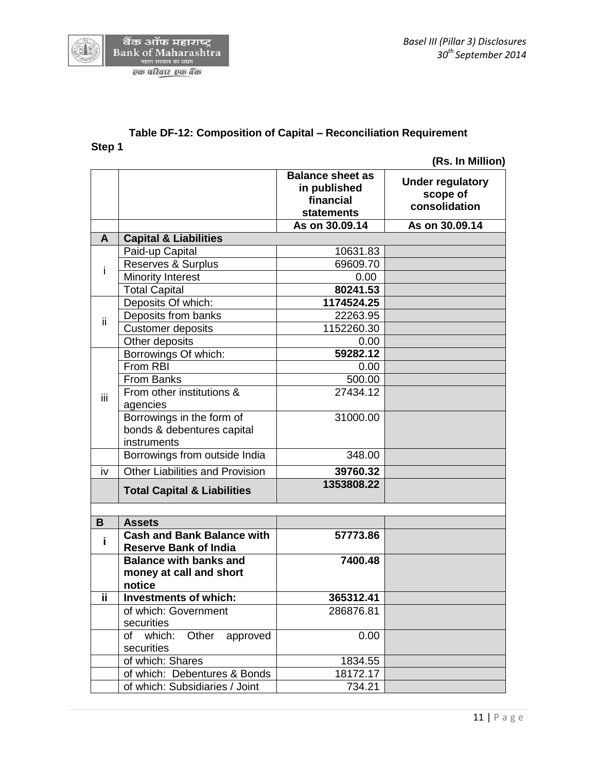

#### **Table DF-12: Composition of Capital – Reconciliation Requirement Step 1**

 **(Rs. In Million)**

|      |                                                                   | <b>Balance sheet as</b><br>in published<br>financial<br><b>statements</b> | <b>Under regulatory</b><br>scope of<br>consolidation |
|------|-------------------------------------------------------------------|---------------------------------------------------------------------------|------------------------------------------------------|
|      |                                                                   | As on 30.09.14                                                            | As on 30.09.14                                       |
| A    | <b>Capital &amp; Liabilities</b>                                  |                                                                           |                                                      |
|      | Paid-up Capital                                                   | 10631.83                                                                  |                                                      |
| Ť    | Reserves & Surplus                                                | 69609.70                                                                  |                                                      |
|      | <b>Minority Interest</b>                                          | 0.00                                                                      |                                                      |
|      | <b>Total Capital</b>                                              | 80241.53                                                                  |                                                      |
|      | Deposits Of which:                                                | 1174524.25                                                                |                                                      |
| ii.  | Deposits from banks                                               | 22263.95                                                                  |                                                      |
|      | <b>Customer deposits</b>                                          | 1152260.30                                                                |                                                      |
|      | Other deposits                                                    | 0.00                                                                      |                                                      |
|      | Borrowings Of which:                                              | 59282.12                                                                  |                                                      |
|      | From RBI                                                          | 0.00                                                                      |                                                      |
|      | From Banks                                                        | 500.00                                                                    |                                                      |
| iii. | From other institutions &                                         | 27434.12                                                                  |                                                      |
|      | agencies                                                          |                                                                           |                                                      |
|      | Borrowings in the form of                                         | 31000.00                                                                  |                                                      |
|      | bonds & debentures capital                                        |                                                                           |                                                      |
|      | instruments                                                       |                                                                           |                                                      |
|      | Borrowings from outside India                                     | 348.00                                                                    |                                                      |
| iv   | <b>Other Liabilities and Provision</b>                            | 39760.32                                                                  |                                                      |
|      | <b>Total Capital &amp; Liabilities</b>                            | 1353808.22                                                                |                                                      |
|      |                                                                   |                                                                           |                                                      |
| B    | <b>Assets</b>                                                     |                                                                           |                                                      |
| j.   | <b>Cash and Bank Balance with</b><br><b>Reserve Bank of India</b> | 57773.86                                                                  |                                                      |
|      | <b>Balance with banks and</b>                                     | 7400.48                                                                   |                                                      |
|      | money at call and short                                           |                                                                           |                                                      |
|      | notice                                                            |                                                                           |                                                      |
| ii.  | <b>Investments of which:</b>                                      | 365312.41                                                                 |                                                      |
|      | of which: Government                                              | 286876.81                                                                 |                                                      |
|      | securities                                                        |                                                                           |                                                      |
|      | which:<br>Other<br>of<br>approved                                 | 0.00                                                                      |                                                      |
|      | securities                                                        |                                                                           |                                                      |
|      | of which: Shares                                                  | 1834.55                                                                   |                                                      |
|      | of which: Debentures & Bonds                                      | 18172.17                                                                  |                                                      |
|      | of which: Subsidiaries / Joint                                    | 734.21                                                                    |                                                      |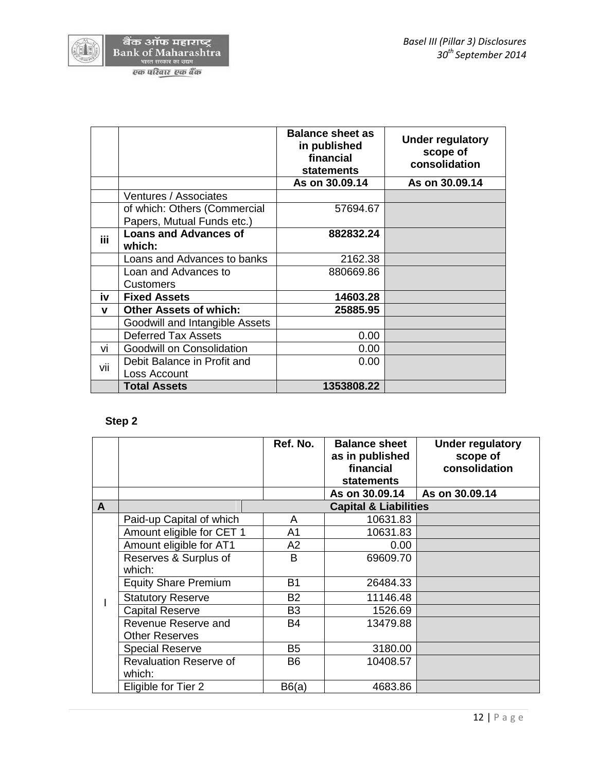

|      |                                        | <b>Balance sheet as</b><br>in published<br>financial<br><b>statements</b> | <b>Under regulatory</b><br>scope of<br>consolidation |
|------|----------------------------------------|---------------------------------------------------------------------------|------------------------------------------------------|
|      |                                        | As on 30.09.14                                                            | As on 30.09.14                                       |
|      | Ventures / Associates                  |                                                                           |                                                      |
|      | of which: Others (Commercial           | 57694.67                                                                  |                                                      |
|      | Papers, Mutual Funds etc.)             |                                                                           |                                                      |
| iii. | <b>Loans and Advances of</b><br>which: | 882832.24                                                                 |                                                      |
|      | Loans and Advances to banks            | 2162.38                                                                   |                                                      |
|      | Loan and Advances to                   | 880669.86                                                                 |                                                      |
|      | <b>Customers</b>                       |                                                                           |                                                      |
| iv   | <b>Fixed Assets</b>                    | 14603.28                                                                  |                                                      |
| v    | <b>Other Assets of which:</b>          | 25885.95                                                                  |                                                      |
|      | Goodwill and Intangible Assets         |                                                                           |                                                      |
|      | <b>Deferred Tax Assets</b>             | 0.00                                                                      |                                                      |
| VÌ   | Goodwill on Consolidation              | 0.00                                                                      |                                                      |
| vii  | Debit Balance in Profit and            | 0.00                                                                      |                                                      |
|      | Loss Account                           |                                                                           |                                                      |
|      | <b>Total Assets</b>                    | 1353808.22                                                                |                                                      |

# **Step 2**

|              |                               | Ref. No.       | <b>Balance sheet</b><br>as in published<br>financial<br><b>statements</b> | <b>Under regulatory</b><br>scope of<br>consolidation |
|--------------|-------------------------------|----------------|---------------------------------------------------------------------------|------------------------------------------------------|
|              |                               |                | As on 30.09.14                                                            | As on 30.09.14                                       |
| $\mathsf{A}$ |                               |                | <b>Capital &amp; Liabilities</b>                                          |                                                      |
|              | Paid-up Capital of which      | A              | 10631.83                                                                  |                                                      |
|              | Amount eligible for CET 1     | A <sub>1</sub> | 10631.83                                                                  |                                                      |
|              | Amount eligible for AT1       | A2             | 0.00                                                                      |                                                      |
|              | Reserves & Surplus of         | B              | 69609.70                                                                  |                                                      |
|              | which:                        |                |                                                                           |                                                      |
|              | <b>Equity Share Premium</b>   | <b>B1</b>      | 26484.33                                                                  |                                                      |
|              | <b>Statutory Reserve</b>      | <b>B2</b>      | 11146.48                                                                  |                                                      |
|              | <b>Capital Reserve</b>        | B <sub>3</sub> | 1526.69                                                                   |                                                      |
|              | Revenue Reserve and           | <b>B4</b>      | 13479.88                                                                  |                                                      |
|              | <b>Other Reserves</b>         |                |                                                                           |                                                      |
|              | <b>Special Reserve</b>        | B <sub>5</sub> | 3180.00                                                                   |                                                      |
|              | <b>Revaluation Reserve of</b> | B <sub>6</sub> | 10408.57                                                                  |                                                      |
|              | which:                        |                |                                                                           |                                                      |
|              | Eligible for Tier 2           | B6(a)          | 4683.86                                                                   |                                                      |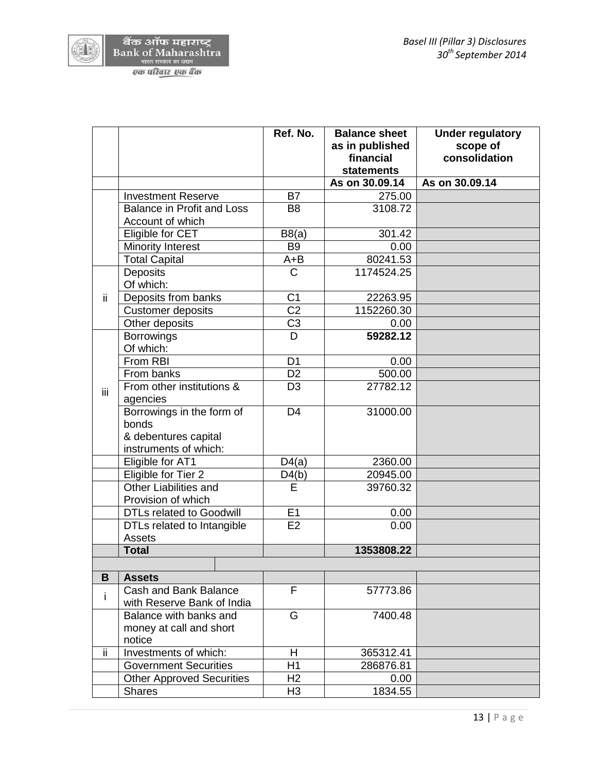

|     |                                   | Ref. No.        | <b>Balance sheet</b> | <b>Under regulatory</b> |
|-----|-----------------------------------|-----------------|----------------------|-------------------------|
|     |                                   |                 | as in published      | scope of                |
|     |                                   |                 | financial            | consolidation           |
|     |                                   |                 | <b>statements</b>    |                         |
|     |                                   |                 | As on 30.09.14       | As on 30.09.14          |
|     | <b>Investment Reserve</b>         | <b>B7</b>       | 275.00               |                         |
|     | <b>Balance in Profit and Loss</b> | B <sub>8</sub>  | 3108.72              |                         |
|     | Account of which                  |                 |                      |                         |
|     | Eligible for CET                  | B8(a)           | 301.42               |                         |
|     | <b>Minority Interest</b>          | B <sub>9</sub>  | 0.00                 |                         |
|     | <b>Total Capital</b>              | $A + B$         | 80241.53             |                         |
|     | <b>Deposits</b>                   | $\mathsf{C}$    | 1174524.25           |                         |
|     | Of which:                         |                 |                      |                         |
| ii. | Deposits from banks               | C <sub>1</sub>  | 22263.95             |                         |
|     | <b>Customer deposits</b>          | C <sub>2</sub>  | 1152260.30           |                         |
|     | Other deposits                    | C <sub>3</sub>  | 0.00                 |                         |
|     | <b>Borrowings</b>                 | D               | 59282.12             |                         |
|     | Of which:                         |                 |                      |                         |
|     | From RBI                          | D <sub>1</sub>  | 0.00                 |                         |
|     | From banks                        | $\overline{D2}$ | 500.00               |                         |
| ΪÏ  | From other institutions &         | D <sub>3</sub>  | 27782.12             |                         |
|     | agencies                          |                 |                      |                         |
|     | Borrowings in the form of         | D <sub>4</sub>  | 31000.00             |                         |
|     | bonds                             |                 |                      |                         |
|     | & debentures capital              |                 |                      |                         |
|     | instruments of which:             |                 |                      |                         |
|     | Eligible for AT1                  | D4(a)           | 2360.00              |                         |
|     | Eligible for Tier 2               | D4(b)           | 20945.00             |                         |
|     | Other Liabilities and             | E               | 39760.32             |                         |
|     | Provision of which                |                 |                      |                         |
|     | <b>DTLs related to Goodwill</b>   | E1              | 0.00                 |                         |
|     | DTLs related to Intangible        | E2              | 0.00                 |                         |
|     | Assets                            |                 |                      |                         |
|     | <b>Total</b>                      |                 | 1353808.22           |                         |
|     |                                   |                 |                      |                         |
| B   | <b>Assets</b>                     |                 |                      |                         |
|     | Cash and Bank Balance             | F               | 57773.86             |                         |
| i.  | with Reserve Bank of India        |                 |                      |                         |
|     | Balance with banks and            | G               | 7400.48              |                         |
|     | money at call and short           |                 |                      |                         |
|     | notice                            |                 |                      |                         |
| ii. | Investments of which:             | H               | 365312.41            |                         |
|     | <b>Government Securities</b>      | H1              | 286876.81            |                         |
|     | <b>Other Approved Securities</b>  | H <sub>2</sub>  | 0.00                 |                         |
|     | <b>Shares</b>                     | H <sub>3</sub>  | 1834.55              |                         |
|     |                                   |                 |                      |                         |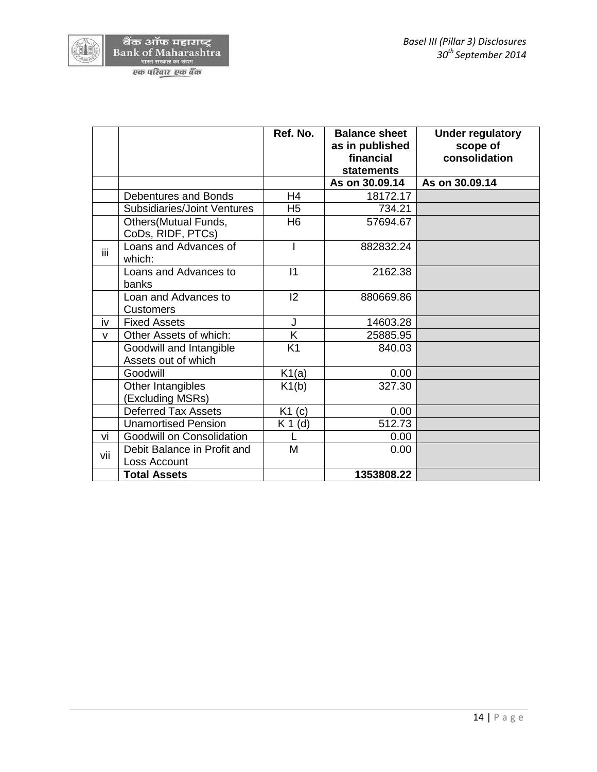

|              |                                                | Ref. No.       | <b>Balance sheet</b><br>as in published<br>financial | <b>Under regulatory</b><br>scope of<br>consolidation |
|--------------|------------------------------------------------|----------------|------------------------------------------------------|------------------------------------------------------|
|              |                                                |                | <b>statements</b>                                    |                                                      |
|              |                                                |                | As on 30.09.14                                       | As on 30.09.14                                       |
|              | <b>Debentures and Bonds</b>                    | H4             | 18172.17                                             |                                                      |
|              | Subsidiaries/Joint Ventures                    | H <sub>5</sub> | 734.21                                               |                                                      |
|              | Others(Mutual Funds,<br>CoDs, RIDF, PTCs)      | H <sub>6</sub> | 57694.67                                             |                                                      |
| iii.         | Loans and Advances of<br>which:                |                | 882832.24                                            |                                                      |
|              | Loans and Advances to<br>banks                 | $\vert$ 1      | 2162.38                                              |                                                      |
|              | Loan and Advances to<br><b>Customers</b>       | 2              | 880669.86                                            |                                                      |
| iv           | <b>Fixed Assets</b>                            | J              | 14603.28                                             |                                                      |
| $\mathsf{v}$ | Other Assets of which:                         | K.             | 25885.95                                             |                                                      |
|              | Goodwill and Intangible<br>Assets out of which | K1             | 840.03                                               |                                                      |
|              | Goodwill                                       | K1(a)          | 0.00                                                 |                                                      |
|              | Other Intangibles<br>(Excluding MSRs)          | K1(b)          | 327.30                                               |                                                      |
|              | <b>Deferred Tax Assets</b>                     | $K1$ (c)       | 0.00                                                 |                                                      |
|              | <b>Unamortised Pension</b>                     | (d)<br>K 1     | 512.73                                               |                                                      |
| vi           | Goodwill on Consolidation                      |                | 0.00                                                 |                                                      |
| vii          | Debit Balance in Profit and                    | M              | 0.00                                                 |                                                      |
|              | Loss Account                                   |                |                                                      |                                                      |
|              | <b>Total Assets</b>                            |                | 1353808.22                                           |                                                      |